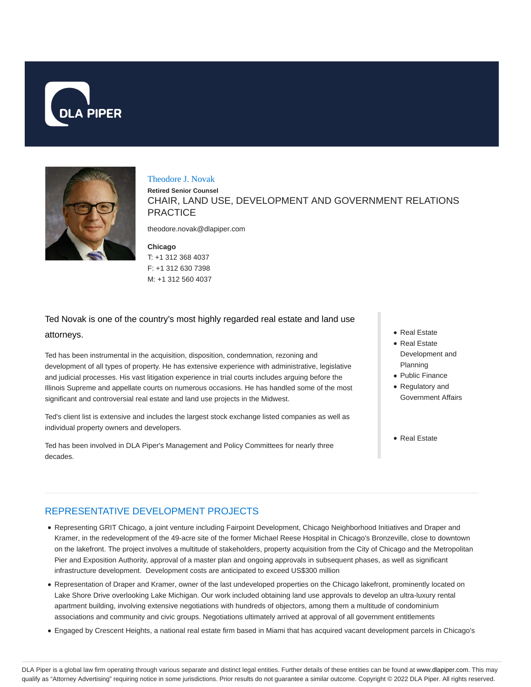



#### Theodore J. Novak

**Retired Senior Counsel** CHAIR, LAND USE, DEVELOPMENT AND GOVERNMENT RELATIONS **PRACTICE** 

theodore.novak@dlapiper.com

**Chicago** T: +1 312 368 4037 F: +1 312 630 7398 M: +1 312 560 4037

# Ted Novak is one of the country's most highly regarded real estate and land use attorneys.

Ted has been instrumental in the acquisition, disposition, condemnation, rezoning and development of all types of property. He has extensive experience with administrative, legislative and judicial processes. His vast litigation experience in trial courts includes arguing before the Illinois Supreme and appellate courts on numerous occasions. He has handled some of the most significant and controversial real estate and land use projects in the Midwest.

Ted's client list is extensive and includes the largest stock exchange listed companies as well as individual property owners and developers.

Ted has been involved in DLA Piper's Management and Policy Committees for nearly three decades.

- Real Estate
- Real Estate Development and Planning
- Public Finance
- Regulatory and Government Affairs
- Real Estate

### REPRESENTATIVE DEVELOPMENT PROJECTS

- Representing GRIT Chicago, a joint venture including Fairpoint Development, Chicago Neighborhood Initiatives and Draper and Kramer, in the redevelopment of the 49-acre site of the former Michael Reese Hospital in Chicago's Bronzeville, close to downtown on the lakefront. The project involves a multitude of stakeholders, property acquisition from the City of Chicago and the Metropolitan Pier and Exposition Authority, approval of a master plan and ongoing approvals in subsequent phases, as well as significant infrastructure development. Development costs are anticipated to exceed US\$300 million
- Representation of Draper and Kramer, owner of the last undeveloped properties on the Chicago lakefront, prominently located on Lake Shore Drive overlooking Lake Michigan. Our work included obtaining land use approvals to develop an ultra-luxury rental apartment building, involving extensive negotiations with hundreds of objectors, among them a multitude of condominium associations and community and civic groups. Negotiations ultimately arrived at approval of all government entitlements
- Engaged by Crescent Heights, a national real estate firm based in Miami that has acquired vacant development parcels in Chicago's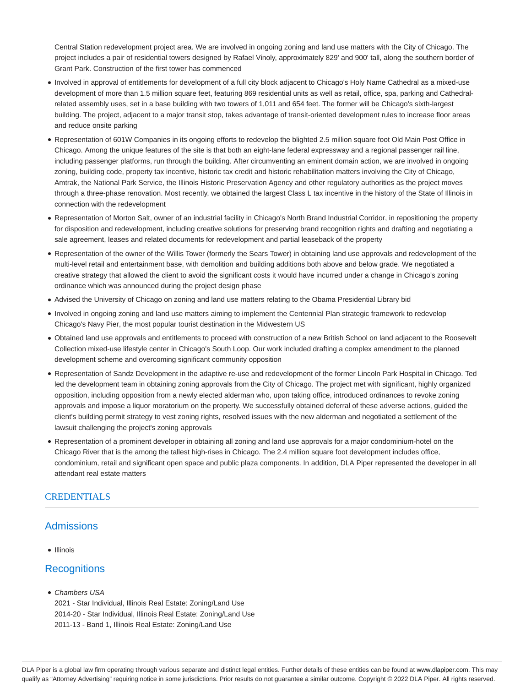Central Station redevelopment project area. We are involved in ongoing zoning and land use matters with the City of Chicago. The project includes a pair of residential towers designed by Rafael Vinoly, approximately 829' and 900' tall, along the southern border of Grant Park. Construction of the first tower has commenced

- Involved in approval of entitlements for development of a full city block adjacent to Chicago's Holy Name Cathedral as a mixed-use development of more than 1.5 million square feet, featuring 869 residential units as well as retail, office, spa, parking and Cathedralrelated assembly uses, set in a base building with two towers of 1,011 and 654 feet. The former will be Chicago's sixth-largest building. The project, adjacent to a major transit stop, takes advantage of transit-oriented development rules to increase floor areas and reduce onsite parking
- Representation of 601W Companies in its ongoing efforts to redevelop the blighted 2.5 million square foot Old Main Post Office in Chicago. Among the unique features of the site is that both an eight-lane federal expressway and a regional passenger rail line, including passenger platforms, run through the building. After circumventing an eminent domain action, we are involved in ongoing zoning, building code, property tax incentive, historic tax credit and historic rehabilitation matters involving the City of Chicago, Amtrak, the National Park Service, the Illinois Historic Preservation Agency and other regulatory authorities as the project moves through a three-phase renovation. Most recently, we obtained the largest Class L tax incentive in the history of the State of Illinois in connection with the redevelopment
- Representation of Morton Salt, owner of an industrial facility in Chicago's North Brand Industrial Corridor, in repositioning the property for disposition and redevelopment, including creative solutions for preserving brand recognition rights and drafting and negotiating a sale agreement, leases and related documents for redevelopment and partial leaseback of the property
- Representation of the owner of the Willis Tower (formerly the Sears Tower) in obtaining land use approvals and redevelopment of the multi-level retail and entertainment base, with demolition and building additions both above and below grade. We negotiated a creative strategy that allowed the client to avoid the significant costs it would have incurred under a change in Chicago's zoning ordinance which was announced during the project design phase
- Advised the University of Chicago on zoning and land use matters relating to the Obama Presidential Library bid
- Involved in ongoing zoning and land use matters aiming to implement the Centennial Plan strategic framework to redevelop Chicago's Navy Pier, the most popular tourist destination in the Midwestern US
- Obtained land use approvals and entitlements to proceed with construction of a new British School on land adjacent to the Roosevelt Collection mixed-use lifestyle center in Chicago's South Loop. Our work included drafting a complex amendment to the planned development scheme and overcoming significant community opposition
- Representation of Sandz Development in the adaptive re-use and redevelopment of the former Lincoln Park Hospital in Chicago. Ted led the development team in obtaining zoning approvals from the City of Chicago. The project met with significant, highly organized opposition, including opposition from a newly elected alderman who, upon taking office, introduced ordinances to revoke zoning approvals and impose a liquor moratorium on the property. We successfully obtained deferral of these adverse actions, guided the client's building permit strategy to vest zoning rights, resolved issues with the new alderman and negotiated a settlement of the lawsuit challenging the project's zoning approvals
- Representation of a prominent developer in obtaining all zoning and land use approvals for a major condominium-hotel on the Chicago River that is the among the tallest high-rises in Chicago. The 2.4 million square foot development includes office, condominium, retail and significant open space and public plaza components. In addition, DLA Piper represented the developer in all attendant real estate matters

#### **CREDENTIALS**

### **Admissions**

• Illinois

#### **Recognitions**

Chambers USA

2021 - Star Individual, Illinois Real Estate: Zoning/Land Use 2014-20 - Star Individual, Illinois Real Estate: Zoning/Land Use 2011-13 - Band 1, Illinois Real Estate: Zoning/Land Use